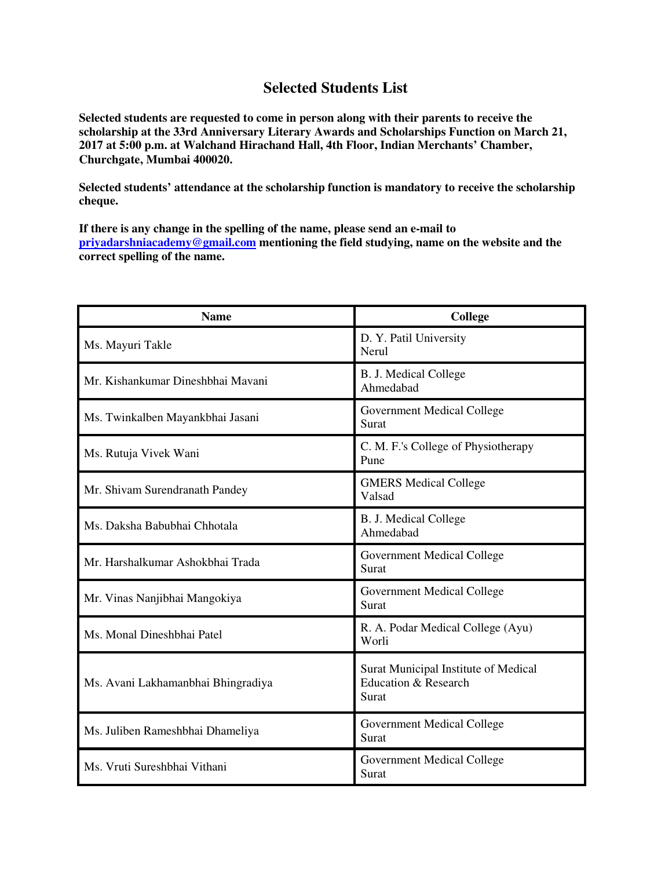## **Selected Students List**

**Selected students are requested to come in person along with their parents to receive the scholarship at the 33rd Anniversary Literary Awards and Scholarships Function on March 21, 2017 at 5:00 p.m. at Walchand Hirachand Hall, 4th Floor, Indian Merchants' Chamber, Churchgate, Mumbai 400020.** 

**Selected students' attendance at the scholarship function is mandatory to receive the scholarship cheque.** 

**If there is any change in the spelling of the name, please send an e-mail to priyadarshniacademy@gmail.com mentioning the field studying, name on the website and the correct spelling of the name.** 

| <b>Name</b>                        | College                                                                          |
|------------------------------------|----------------------------------------------------------------------------------|
| Ms. Mayuri Takle                   | D. Y. Patil University<br>Nerul                                                  |
| Mr. Kishankumar Dineshbhai Mavani  | B. J. Medical College<br>Ahmedabad                                               |
| Ms. Twinkalben Mayankbhai Jasani   | Government Medical College<br>Surat                                              |
| Ms. Rutuja Vivek Wani              | C. M. F.'s College of Physiotherapy<br>Pune                                      |
| Mr. Shivam Surendranath Pandey     | <b>GMERS Medical College</b><br>Valsad                                           |
| Ms. Daksha Babubhai Chhotala       | B. J. Medical College<br>Ahmedabad                                               |
| Mr. Harshalkumar Ashokbhai Trada   | Government Medical College<br>Surat                                              |
| Mr. Vinas Nanjibhai Mangokiya      | Government Medical College<br>Surat                                              |
| Ms. Monal Dineshbhai Patel         | R. A. Podar Medical College (Ayu)<br>Worli                                       |
| Ms. Avani Lakhamanbhai Bhingradiya | Surat Municipal Institute of Medical<br><b>Education &amp; Research</b><br>Surat |
| Ms. Juliben Rameshbhai Dhameliya   | <b>Government Medical College</b><br>Surat                                       |
| Ms. Vruti Sureshbhai Vithani       | <b>Government Medical College</b><br>Surat                                       |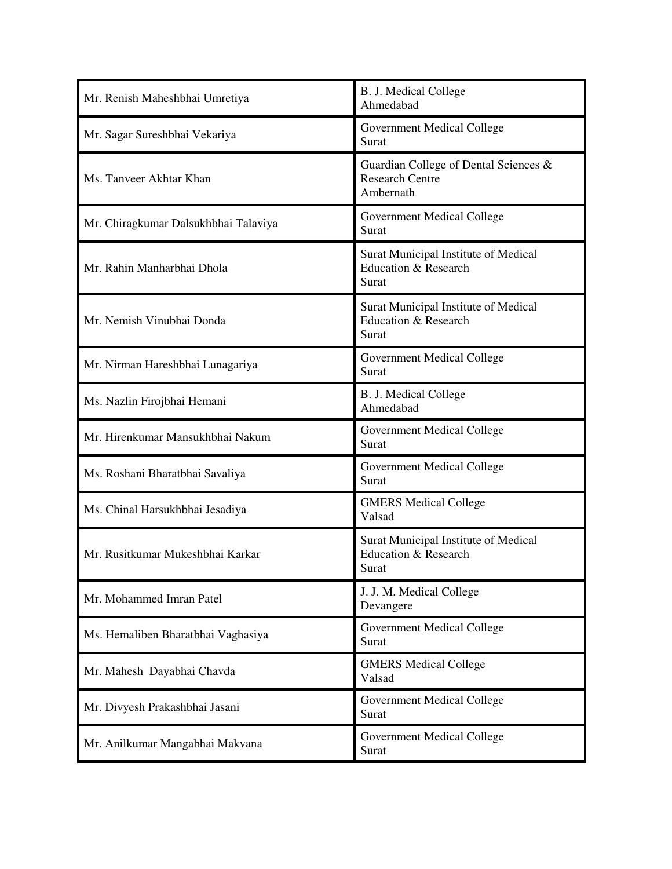| Mr. Renish Maheshbhai Umretiya       | <b>B. J. Medical College</b><br>Ahmedabad                                    |
|--------------------------------------|------------------------------------------------------------------------------|
| Mr. Sagar Sureshbhai Vekariya        | Government Medical College<br>Surat                                          |
| Ms. Tanveer Akhtar Khan              | Guardian College of Dental Sciences &<br><b>Research Centre</b><br>Ambernath |
| Mr. Chiragkumar Dalsukhbhai Talaviya | <b>Government Medical College</b><br>Surat                                   |
| Mr. Rahin Manharbhai Dhola           | Surat Municipal Institute of Medical<br>Education & Research<br>Surat        |
| Mr. Nemish Vinubhai Donda            | Surat Municipal Institute of Medical<br>Education & Research<br>Surat        |
| Mr. Nirman Hareshbhai Lunagariya     | <b>Government Medical College</b><br>Surat                                   |
| Ms. Nazlin Firojbhai Hemani          | B. J. Medical College<br>Ahmedabad                                           |
| Mr. Hirenkumar Mansukhbhai Nakum     | Government Medical College<br>Surat                                          |
| Ms. Roshani Bharatbhai Savaliya      | Government Medical College<br>Surat                                          |
| Ms. Chinal Harsukhbhai Jesadiya      | <b>GMERS Medical College</b><br>Valsad                                       |
| Mr. Rusitkumar Mukeshbhai Karkar     | Surat Municipal Institute of Medical<br>Education & Research<br>Surat        |
| Mr. Mohammed Imran Patel             | J. J. M. Medical College<br>Devangere                                        |
| Ms. Hemaliben Bharatbhai Vaghasiya   | <b>Government Medical College</b><br>Surat                                   |
| Mr. Mahesh Dayabhai Chavda           | <b>GMERS Medical College</b><br>Valsad                                       |
| Mr. Divyesh Prakashbhai Jasani       | <b>Government Medical College</b><br>Surat                                   |
| Mr. Anilkumar Mangabhai Makvana      | Government Medical College<br>Surat                                          |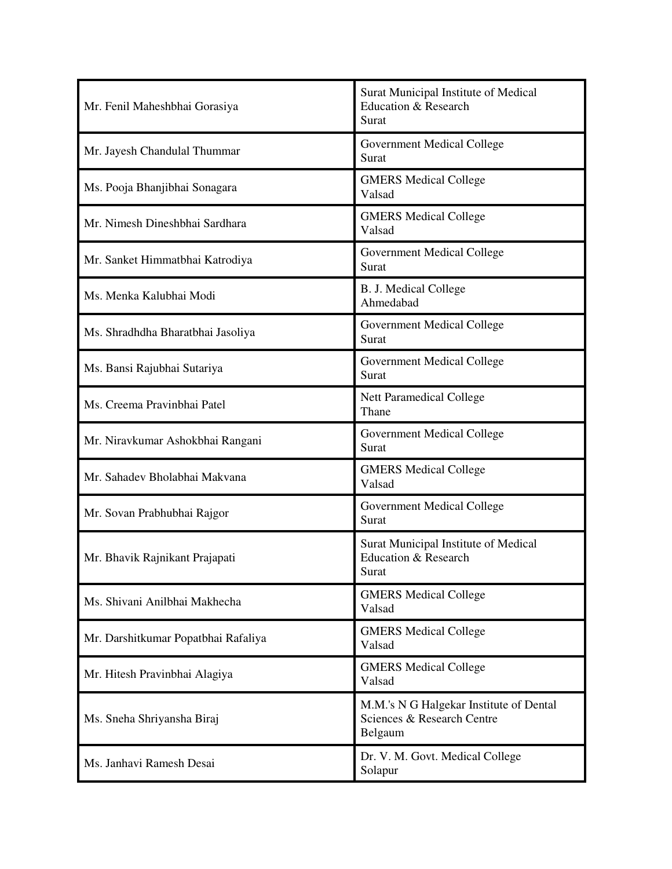| Mr. Fenil Maheshbhai Gorasiya       | Surat Municipal Institute of Medical<br><b>Education &amp; Research</b><br>Surat |
|-------------------------------------|----------------------------------------------------------------------------------|
| Mr. Jayesh Chandulal Thummar        | <b>Government Medical College</b><br>Surat                                       |
| Ms. Pooja Bhanjibhai Sonagara       | <b>GMERS Medical College</b><br>Valsad                                           |
| Mr. Nimesh Dineshbhai Sardhara      | <b>GMERS Medical College</b><br>Valsad                                           |
| Mr. Sanket Himmatbhai Katrodiya     | Government Medical College<br>Surat                                              |
| Ms. Menka Kalubhai Modi             | <b>B. J. Medical College</b><br>Ahmedabad                                        |
| Ms. Shradhdha Bharatbhai Jasoliya   | Government Medical College<br>Surat                                              |
| Ms. Bansi Rajubhai Sutariya         | Government Medical College<br>Surat                                              |
| Ms. Creema Pravinbhai Patel         | <b>Nett Paramedical College</b><br>Thane                                         |
| Mr. Niravkumar Ashokbhai Rangani    | <b>Government Medical College</b><br>Surat                                       |
| Mr. Sahadev Bholabhai Makvana       | <b>GMERS Medical College</b><br>Valsad                                           |
| Mr. Sovan Prabhubhai Rajgor         | Government Medical College<br>Surat                                              |
| Mr. Bhavik Rajnikant Prajapati      | Surat Municipal Institute of Medical<br>Education & Research<br>Surat            |
| Ms. Shivani Anilbhai Makhecha       | <b>GMERS Medical College</b><br>Valsad                                           |
| Mr. Darshitkumar Popatbhai Rafaliya | <b>GMERS Medical College</b><br>Valsad                                           |
| Mr. Hitesh Pravinbhai Alagiya       | <b>GMERS Medical College</b><br>Valsad                                           |
| Ms. Sneha Shriyansha Biraj          | M.M.'s N G Halgekar Institute of Dental<br>Sciences & Research Centre<br>Belgaum |
| Ms. Janhavi Ramesh Desai            | Dr. V. M. Govt. Medical College<br>Solapur                                       |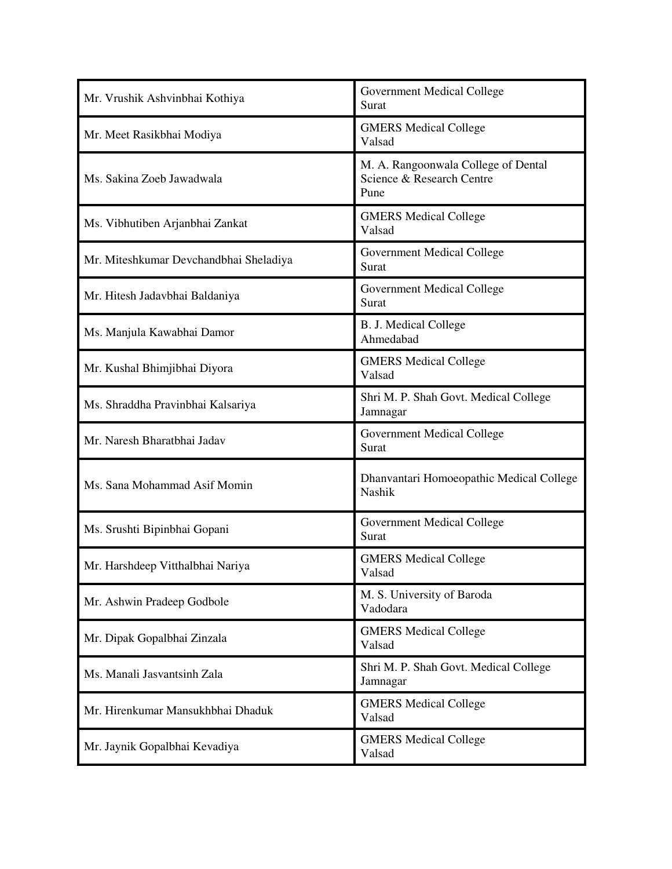| Mr. Vrushik Ashvinbhai Kothiya         | <b>Government Medical College</b><br>Surat                               |
|----------------------------------------|--------------------------------------------------------------------------|
| Mr. Meet Rasikbhai Modiya              | <b>GMERS Medical College</b><br>Valsad                                   |
| Ms. Sakina Zoeb Jawadwala              | M. A. Rangoonwala College of Dental<br>Science & Research Centre<br>Pune |
| Ms. Vibhutiben Arjanbhai Zankat        | <b>GMERS Medical College</b><br>Valsad                                   |
| Mr. Miteshkumar Devchandbhai Sheladiya | <b>Government Medical College</b><br>Surat                               |
| Mr. Hitesh Jadavbhai Baldaniya         | <b>Government Medical College</b><br>Surat                               |
| Ms. Manjula Kawabhai Damor             | <b>B. J. Medical College</b><br>Ahmedabad                                |
| Mr. Kushal Bhimjibhai Diyora           | <b>GMERS Medical College</b><br>Valsad                                   |
| Ms. Shraddha Pravinbhai Kalsariya      | Shri M. P. Shah Govt. Medical College<br>Jamnagar                        |
| Mr. Naresh Bharatbhai Jadav            | <b>Government Medical College</b><br>Surat                               |
| Ms. Sana Mohammad Asif Momin           | Dhanvantari Homoeopathic Medical College<br>Nashik                       |
| Ms. Srushti Bipinbhai Gopani           | <b>Government Medical College</b><br>Surat                               |
| Mr. Harshdeep Vitthalbhai Nariya       | <b>GMERS Medical College</b><br>Valsad                                   |
| Mr. Ashwin Pradeep Godbole             | M. S. University of Baroda<br>Vadodara                                   |
| Mr. Dipak Gopalbhai Zinzala            | <b>GMERS Medical College</b><br>Valsad                                   |
| Ms. Manali Jasvantsinh Zala            | Shri M. P. Shah Govt. Medical College<br>Jamnagar                        |
| Mr. Hirenkumar Mansukhbhai Dhaduk      | <b>GMERS Medical College</b><br>Valsad                                   |
| Mr. Jaynik Gopalbhai Kevadiya          | <b>GMERS Medical College</b><br>Valsad                                   |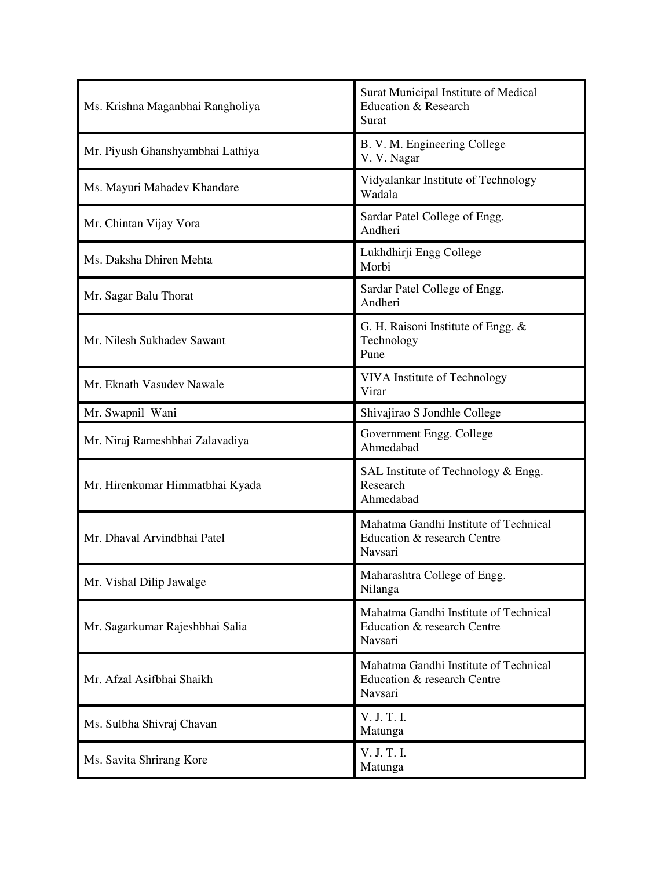| Ms. Krishna Maganbhai Rangholiya | Surat Municipal Institute of Medical<br>Education & Research<br>Surat           |
|----------------------------------|---------------------------------------------------------------------------------|
| Mr. Piyush Ghanshyambhai Lathiya | B. V. M. Engineering College<br>V. V. Nagar                                     |
| Ms. Mayuri Mahadev Khandare      | Vidyalankar Institute of Technology<br>Wadala                                   |
| Mr. Chintan Vijay Vora           | Sardar Patel College of Engg.<br>Andheri                                        |
| Ms. Daksha Dhiren Mehta          | Lukhdhirji Engg College<br>Morbi                                                |
| Mr. Sagar Balu Thorat            | Sardar Patel College of Engg.<br>Andheri                                        |
| Mr. Nilesh Sukhadev Sawant       | G. H. Raisoni Institute of Engg. &<br>Technology<br>Pune                        |
| Mr. Eknath Vasudev Nawale        | VIVA Institute of Technology<br>Virar                                           |
| Mr. Swapnil Wani                 | Shivajirao S Jondhle College                                                    |
| Mr. Niraj Rameshbhai Zalavadiya  | Government Engg. College<br>Ahmedabad                                           |
| Mr. Hirenkumar Himmatbhai Kyada  | SAL Institute of Technology & Engg.<br>Research<br>Ahmedabad                    |
| Mr. Dhaval Arvindbhai Patel      | Mahatma Gandhi Institute of Technical<br>Education & research Centre<br>Navsari |
| Mr. Vishal Dilip Jawalge         | Maharashtra College of Engg.<br>Nilanga                                         |
| Mr. Sagarkumar Rajeshbhai Salia  | Mahatma Gandhi Institute of Technical<br>Education & research Centre<br>Navsari |
| Mr. Afzal Asifbhai Shaikh        | Mahatma Gandhi Institute of Technical<br>Education & research Centre<br>Navsari |
| Ms. Sulbha Shivraj Chavan        | V. J. T. I.<br>Matunga                                                          |
| Ms. Savita Shrirang Kore         | V. J. T. I.<br>Matunga                                                          |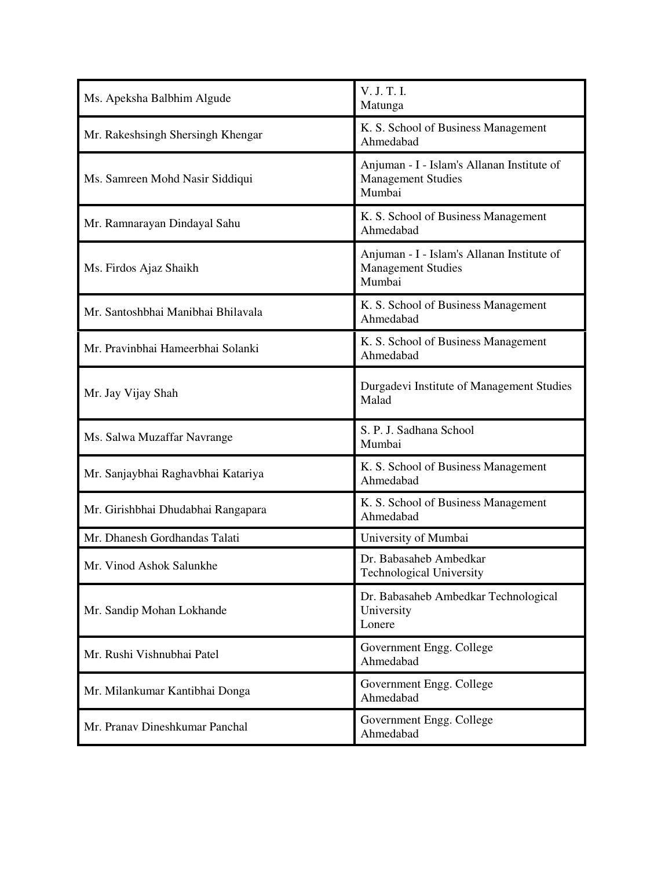| Ms. Apeksha Balbhim Algude         | V. J. T. I.<br>Matunga                                                            |
|------------------------------------|-----------------------------------------------------------------------------------|
| Mr. Rakeshsingh Shersingh Khengar  | K. S. School of Business Management<br>Ahmedabad                                  |
| Ms. Samreen Mohd Nasir Siddiqui    | Anjuman - I - Islam's Allanan Institute of<br><b>Management Studies</b><br>Mumbai |
| Mr. Ramnarayan Dindayal Sahu       | K. S. School of Business Management<br>Ahmedabad                                  |
| Ms. Firdos Ajaz Shaikh             | Anjuman - I - Islam's Allanan Institute of<br><b>Management Studies</b><br>Mumbai |
| Mr. Santoshbhai Manibhai Bhilavala | K. S. School of Business Management<br>Ahmedabad                                  |
| Mr. Pravinbhai Hameerbhai Solanki  | K. S. School of Business Management<br>Ahmedabad                                  |
| Mr. Jay Vijay Shah                 | Durgadevi Institute of Management Studies<br>Malad                                |
| Ms. Salwa Muzaffar Navrange        | S. P. J. Sadhana School<br>Mumbai                                                 |
| Mr. Sanjaybhai Raghavbhai Katariya | K. S. School of Business Management<br>Ahmedabad                                  |
| Mr. Girishbhai Dhudabhai Rangapara | K. S. School of Business Management<br>Ahmedabad                                  |
| Mr. Dhanesh Gordhandas Talati      | University of Mumbai                                                              |
| Mr. Vinod Ashok Salunkhe           | Dr. Babasaheb Ambedkar<br><b>Technological University</b>                         |
| Mr. Sandip Mohan Lokhande          | Dr. Babasaheb Ambedkar Technological                                              |
|                                    | University<br>Lonere                                                              |
| Mr. Rushi Vishnubhai Patel         | Government Engg. College<br>Ahmedabad                                             |
| Mr. Milankumar Kantibhai Donga     | Government Engg. College<br>Ahmedabad                                             |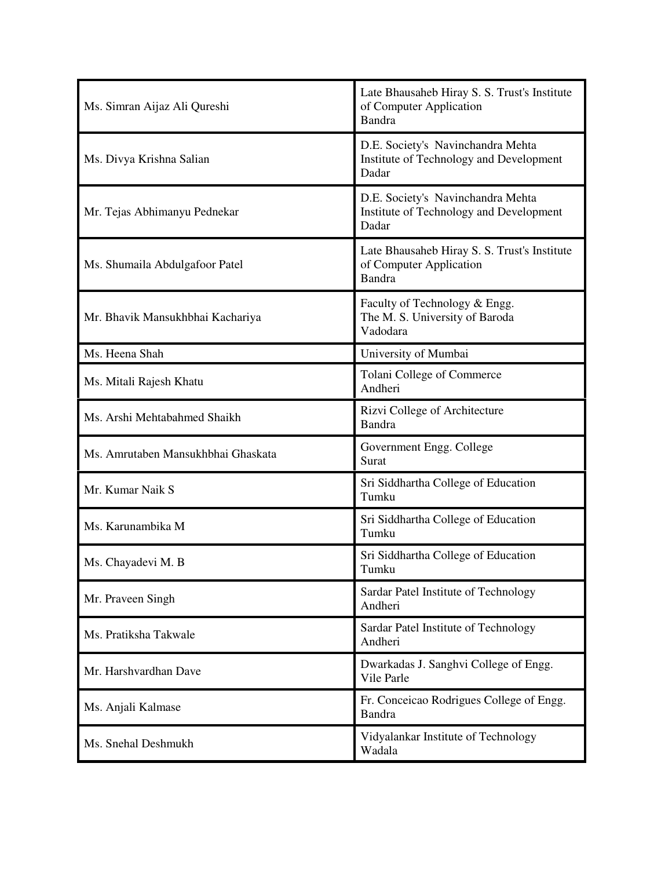| Ms. Simran Aijaz Ali Qureshi       | Late Bhausaheb Hiray S. S. Trust's Institute<br>of Computer Application<br><b>Bandra</b> |
|------------------------------------|------------------------------------------------------------------------------------------|
| Ms. Divya Krishna Salian           | D.E. Society's Navinchandra Mehta<br>Institute of Technology and Development<br>Dadar    |
| Mr. Tejas Abhimanyu Pednekar       | D.E. Society's Navinchandra Mehta<br>Institute of Technology and Development<br>Dadar    |
| Ms. Shumaila Abdulgafoor Patel     | Late Bhausaheb Hiray S. S. Trust's Institute<br>of Computer Application<br><b>Bandra</b> |
| Mr. Bhavik Mansukhbhai Kachariya   | Faculty of Technology & Engg.<br>The M. S. University of Baroda<br>Vadodara              |
| Ms. Heena Shah                     | University of Mumbai                                                                     |
| Ms. Mitali Rajesh Khatu            | Tolani College of Commerce<br>Andheri                                                    |
| Ms. Arshi Mehtabahmed Shaikh       | Rizvi College of Architecture<br>Bandra                                                  |
| Ms. Amrutaben Mansukhbhai Ghaskata | Government Engg. College<br>Surat                                                        |
| Mr. Kumar Naik S                   | Sri Siddhartha College of Education<br>Tumku                                             |
| Ms. Karunambika M                  | Sri Siddhartha College of Education<br>Tumku                                             |
| Ms. Chayadevi M. B                 | Sri Siddhartha College of Education<br>Tumku                                             |
| Mr. Praveen Singh                  | Sardar Patel Institute of Technology<br>Andheri                                          |
| Ms. Pratiksha Takwale              | Sardar Patel Institute of Technology<br>Andheri                                          |
| Mr. Harshvardhan Dave              | Dwarkadas J. Sanghvi College of Engg.<br>Vile Parle                                      |
| Ms. Anjali Kalmase                 | Fr. Conceicao Rodrigues College of Engg.<br>Bandra                                       |
| Ms. Snehal Deshmukh                | Vidyalankar Institute of Technology<br>Wadala                                            |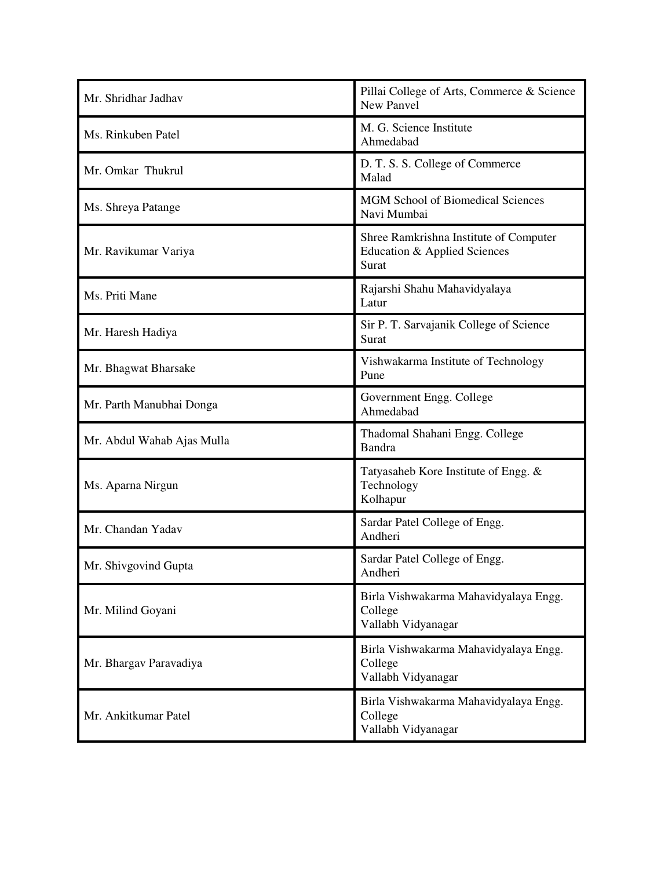| Mr. Shridhar Jadhav        | Pillai College of Arts, Commerce & Science<br>New Panvel                        |
|----------------------------|---------------------------------------------------------------------------------|
| Ms. Rinkuben Patel         | M. G. Science Institute<br>Ahmedabad                                            |
| Mr. Omkar Thukrul          | D. T. S. S. College of Commerce<br>Malad                                        |
| Ms. Shreya Patange         | <b>MGM School of Biomedical Sciences</b><br>Navi Mumbai                         |
| Mr. Ravikumar Variya       | Shree Ramkrishna Institute of Computer<br>Education & Applied Sciences<br>Surat |
| Ms. Priti Mane             | Rajarshi Shahu Mahavidyalaya<br>Latur                                           |
| Mr. Haresh Hadiya          | Sir P. T. Sarvajanik College of Science<br>Surat                                |
| Mr. Bhagwat Bharsake       | Vishwakarma Institute of Technology<br>Pune                                     |
| Mr. Parth Manubhai Donga   | Government Engg. College<br>Ahmedabad                                           |
| Mr. Abdul Wahab Ajas Mulla | Thadomal Shahani Engg. College<br>Bandra                                        |
| Ms. Aparna Nirgun          | Tatyasaheb Kore Institute of Engg. &<br>Technology<br>Kolhapur                  |
| Mr. Chandan Yadav          | Sardar Patel College of Engg.<br>Andheri                                        |
| Mr. Shivgovind Gupta       | Sardar Patel College of Engg.<br>Andheri                                        |
| Mr. Milind Goyani          | Birla Vishwakarma Mahavidyalaya Engg.<br>College<br>Vallabh Vidyanagar          |
| Mr. Bhargav Paravadiya     | Birla Vishwakarma Mahavidyalaya Engg.<br>College<br>Vallabh Vidyanagar          |
| Mr. Ankitkumar Patel       | Birla Vishwakarma Mahavidyalaya Engg.<br>College<br>Vallabh Vidyanagar          |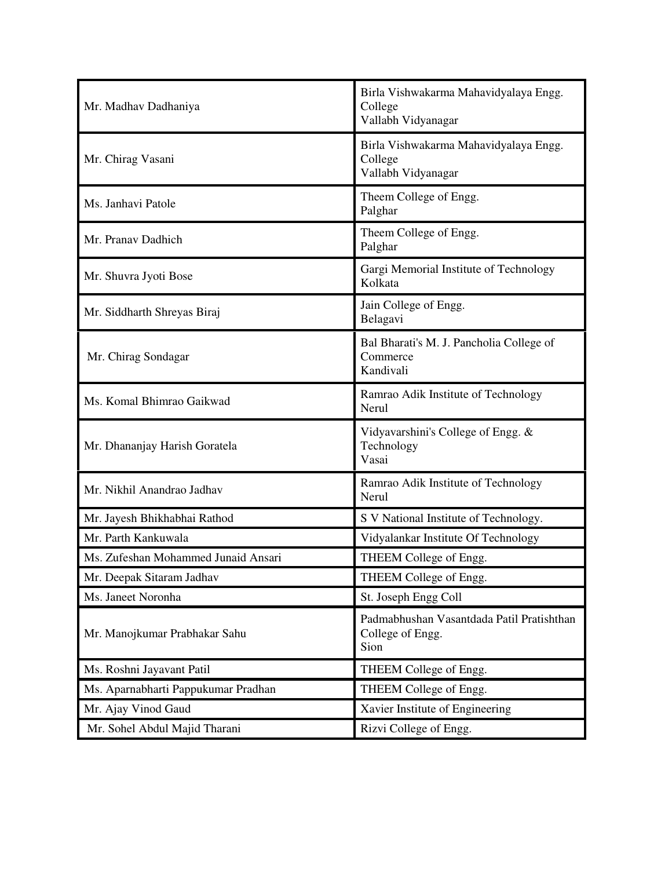| Mr. Madhav Dadhaniya                | Birla Vishwakarma Mahavidyalaya Engg.<br>College<br>Vallabh Vidyanagar |
|-------------------------------------|------------------------------------------------------------------------|
| Mr. Chirag Vasani                   | Birla Vishwakarma Mahavidyalaya Engg.<br>College<br>Vallabh Vidyanagar |
| Ms. Janhavi Patole                  | Theem College of Engg.<br>Palghar                                      |
| Mr. Pranav Dadhich                  | Theem College of Engg.<br>Palghar                                      |
| Mr. Shuvra Jyoti Bose               | Gargi Memorial Institute of Technology<br>Kolkata                      |
| Mr. Siddharth Shreyas Biraj         | Jain College of Engg.<br>Belagavi                                      |
| Mr. Chirag Sondagar                 | Bal Bharati's M. J. Pancholia College of<br>Commerce<br>Kandivali      |
| Ms. Komal Bhimrao Gaikwad           | Ramrao Adik Institute of Technology<br>Nerul                           |
| Mr. Dhananjay Harish Goratela       | Vidyavarshini's College of Engg. &<br>Technology<br>Vasai              |
| Mr. Nikhil Anandrao Jadhav          | Ramrao Adik Institute of Technology<br>Nerul                           |
| Mr. Jayesh Bhikhabhai Rathod        | S V National Institute of Technology.                                  |
| Mr. Parth Kankuwala                 | Vidyalankar Institute Of Technology                                    |
| Ms. Zufeshan Mohammed Junaid Ansari | THEEM College of Engg.                                                 |
| Mr. Deepak Sitaram Jadhav           | THEEM College of Engg.                                                 |
| Ms. Janeet Noronha                  | St. Joseph Engg Coll                                                   |
| Mr. Manojkumar Prabhakar Sahu       | Padmabhushan Vasantdada Patil Pratishthan<br>College of Engg.<br>Sion  |
| Ms. Roshni Jayavant Patil           | THEEM College of Engg.                                                 |
| Ms. Aparnabharti Pappukumar Pradhan | THEEM College of Engg.                                                 |
| Mr. Ajay Vinod Gaud                 | Xavier Institute of Engineering                                        |
| Mr. Sohel Abdul Majid Tharani       | Rizvi College of Engg.                                                 |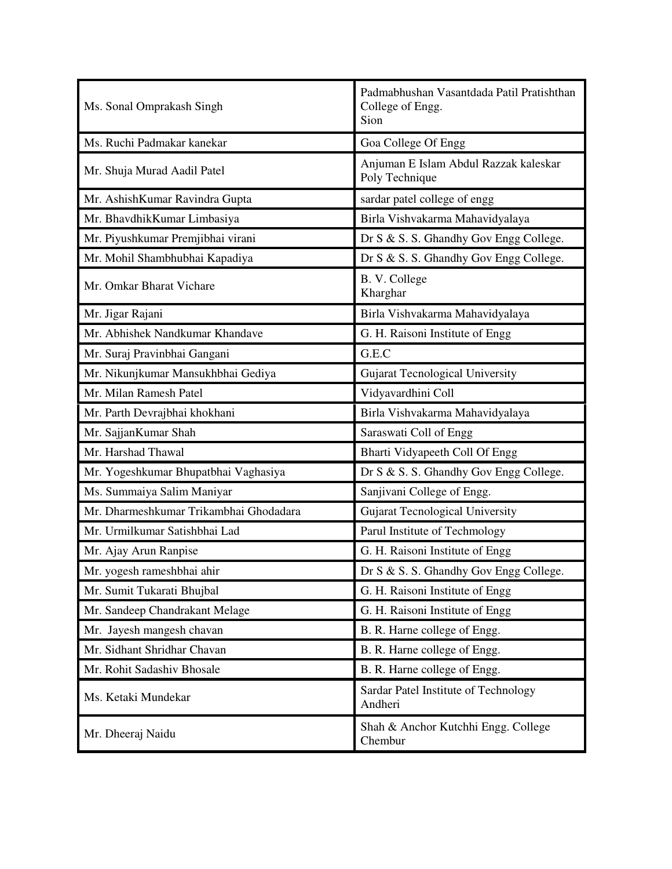| Ms. Sonal Omprakash Singh              | Padmabhushan Vasantdada Patil Pratishthan<br>College of Engg.<br>Sion |
|----------------------------------------|-----------------------------------------------------------------------|
| Ms. Ruchi Padmakar kanekar             | Goa College Of Engg                                                   |
| Mr. Shuja Murad Aadil Patel            | Anjuman E Islam Abdul Razzak kaleskar<br>Poly Technique               |
| Mr. AshishKumar Ravindra Gupta         | sardar patel college of engg                                          |
| Mr. BhavdhikKumar Limbasiya            | Birla Vishvakarma Mahavidyalaya                                       |
| Mr. Piyushkumar Premjibhai virani      | Dr S & S. S. Ghandhy Gov Engg College.                                |
| Mr. Mohil Shambhubhai Kapadiya         | Dr S & S. S. Ghandhy Gov Engg College.                                |
| Mr. Omkar Bharat Vichare               | B. V. College<br>Kharghar                                             |
| Mr. Jigar Rajani                       | Birla Vishvakarma Mahavidyalaya                                       |
| Mr. Abhishek Nandkumar Khandave        | G. H. Raisoni Institute of Engg                                       |
| Mr. Suraj Pravinbhai Gangani           | G.E.C                                                                 |
| Mr. Nikunjkumar Mansukhbhai Gediya     | <b>Gujarat Tecnological University</b>                                |
| Mr. Milan Ramesh Patel                 | Vidyavardhini Coll                                                    |
| Mr. Parth Devrajbhai khokhani          | Birla Vishvakarma Mahavidyalaya                                       |
| Mr. SajjanKumar Shah                   | Saraswati Coll of Engg                                                |
| Mr. Harshad Thawal                     | Bharti Vidyapeeth Coll Of Engg                                        |
| Mr. Yogeshkumar Bhupatbhai Vaghasiya   | Dr S & S. S. Ghandhy Gov Engg College.                                |
| Ms. Summaiya Salim Maniyar             | Sanjivani College of Engg.                                            |
| Mr. Dharmeshkumar Trikambhai Ghodadara | <b>Gujarat Tecnological University</b>                                |
| Mr. Urmilkumar Satishbhai Lad          | Parul Institute of Techmology                                         |
| Mr. Ajay Arun Ranpise                  | G. H. Raisoni Institute of Engg                                       |
| Mr. yogesh rameshbhai ahir             | Dr S & S. S. Ghandhy Gov Engg College.                                |
| Mr. Sumit Tukarati Bhujbal             | G. H. Raisoni Institute of Engg                                       |
| Mr. Sandeep Chandrakant Melage         | G. H. Raisoni Institute of Engg                                       |
| Mr. Jayesh mangesh chavan              | B. R. Harne college of Engg.                                          |
| Mr. Sidhant Shridhar Chavan            | B. R. Harne college of Engg.                                          |
| Mr. Rohit Sadashiv Bhosale             | B. R. Harne college of Engg.                                          |
| Ms. Ketaki Mundekar                    | Sardar Patel Institute of Technology<br>Andheri                       |
| Mr. Dheeraj Naidu                      | Shah & Anchor Kutchhi Engg. College<br>Chembur                        |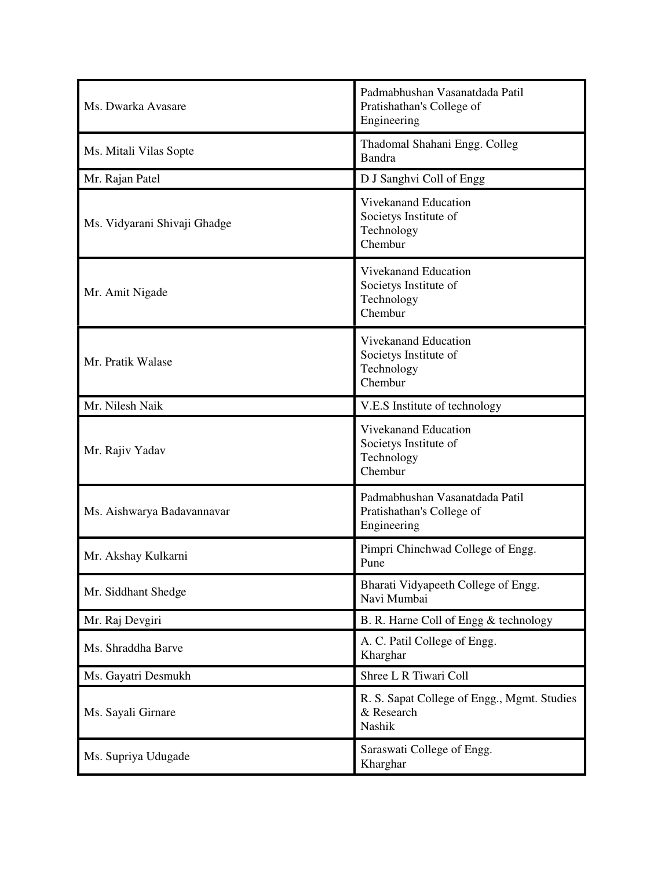| Ms. Dwarka Avasare           | Padmabhushan Vasanatdada Patil<br>Pratishathan's College of<br>Engineering |
|------------------------------|----------------------------------------------------------------------------|
| Ms. Mitali Vilas Sopte       | Thadomal Shahani Engg. Colleg<br>Bandra                                    |
| Mr. Rajan Patel              | D J Sanghvi Coll of Engg                                                   |
| Ms. Vidyarani Shivaji Ghadge | Vivekanand Education<br>Societys Institute of<br>Technology<br>Chembur     |
| Mr. Amit Nigade              | Vivekanand Education<br>Societys Institute of<br>Technology<br>Chembur     |
| Mr. Pratik Walase            | Vivekanand Education<br>Societys Institute of<br>Technology<br>Chembur     |
| Mr. Nilesh Naik              | V.E.S Institute of technology                                              |
| Mr. Rajiv Yadav              | Vivekanand Education<br>Societys Institute of<br>Technology<br>Chembur     |
| Ms. Aishwarya Badavannavar   | Padmabhushan Vasanatdada Patil<br>Pratishathan's College of<br>Engineering |
| Mr. Akshay Kulkarni          | Pimpri Chinchwad College of Engg.<br>Pune                                  |
| Mr. Siddhant Shedge          | Bharati Vidyapeeth College of Engg.<br>Navi Mumbai                         |
| Mr. Raj Devgiri              | B. R. Harne Coll of Engg & technology                                      |
| Ms. Shraddha Barve           | A. C. Patil College of Engg.<br>Kharghar                                   |
| Ms. Gayatri Desmukh          | Shree L R Tiwari Coll                                                      |
| Ms. Sayali Girnare           | R. S. Sapat College of Engg., Mgmt. Studies<br>& Research<br>Nashik        |
| Ms. Supriya Udugade          | Saraswati College of Engg.<br>Kharghar                                     |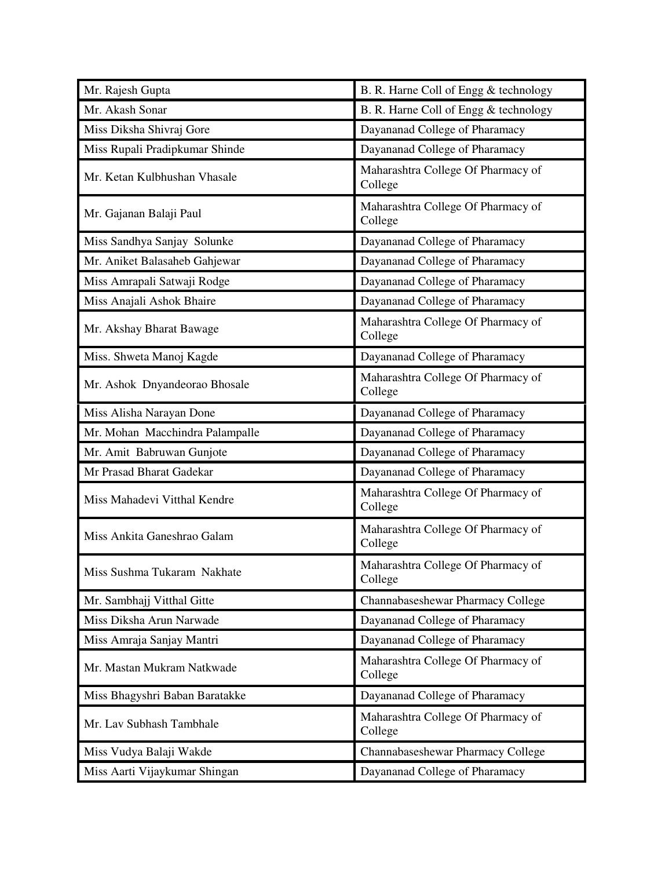| Mr. Rajesh Gupta                | B. R. Harne Coll of Engg & technology         |
|---------------------------------|-----------------------------------------------|
| Mr. Akash Sonar                 | B. R. Harne Coll of Engg & technology         |
| Miss Diksha Shivraj Gore        | Dayananad College of Pharamacy                |
| Miss Rupali Pradipkumar Shinde  | Dayananad College of Pharamacy                |
| Mr. Ketan Kulbhushan Vhasale    | Maharashtra College Of Pharmacy of<br>College |
| Mr. Gajanan Balaji Paul         | Maharashtra College Of Pharmacy of<br>College |
| Miss Sandhya Sanjay Solunke     | Dayananad College of Pharamacy                |
| Mr. Aniket Balasaheb Gahjewar   | Dayananad College of Pharamacy                |
| Miss Amrapali Satwaji Rodge     | Dayananad College of Pharamacy                |
| Miss Anajali Ashok Bhaire       | Dayananad College of Pharamacy                |
| Mr. Akshay Bharat Bawage        | Maharashtra College Of Pharmacy of<br>College |
| Miss. Shweta Manoj Kagde        | Dayananad College of Pharamacy                |
| Mr. Ashok Dnyandeorao Bhosale   | Maharashtra College Of Pharmacy of<br>College |
| Miss Alisha Narayan Done        | Dayananad College of Pharamacy                |
| Mr. Mohan Macchindra Palampalle | Dayananad College of Pharamacy                |
| Mr. Amit Babruwan Gunjote       | Dayananad College of Pharamacy                |
| Mr Prasad Bharat Gadekar        | Dayananad College of Pharamacy                |
| Miss Mahadevi Vitthal Kendre    | Maharashtra College Of Pharmacy of<br>College |
| Miss Ankita Ganeshrao Galam     | Maharashtra College Of Pharmacy of<br>College |
| Miss Sushma Tukaram Nakhate     | Maharashtra College Of Pharmacy of<br>College |
| Mr. Sambhajj Vitthal Gitte      | Channabaseshewar Pharmacy College             |
| Miss Diksha Arun Narwade        | Dayananad College of Pharamacy                |
| Miss Amraja Sanjay Mantri       | Dayananad College of Pharamacy                |
| Mr. Mastan Mukram Natkwade      | Maharashtra College Of Pharmacy of<br>College |
| Miss Bhagyshri Baban Baratakke  | Dayananad College of Pharamacy                |
| Mr. Lav Subhash Tambhale        | Maharashtra College Of Pharmacy of<br>College |
| Miss Vudya Balaji Wakde         | Channabaseshewar Pharmacy College             |
| Miss Aarti Vijaykumar Shingan   | Dayananad College of Pharamacy                |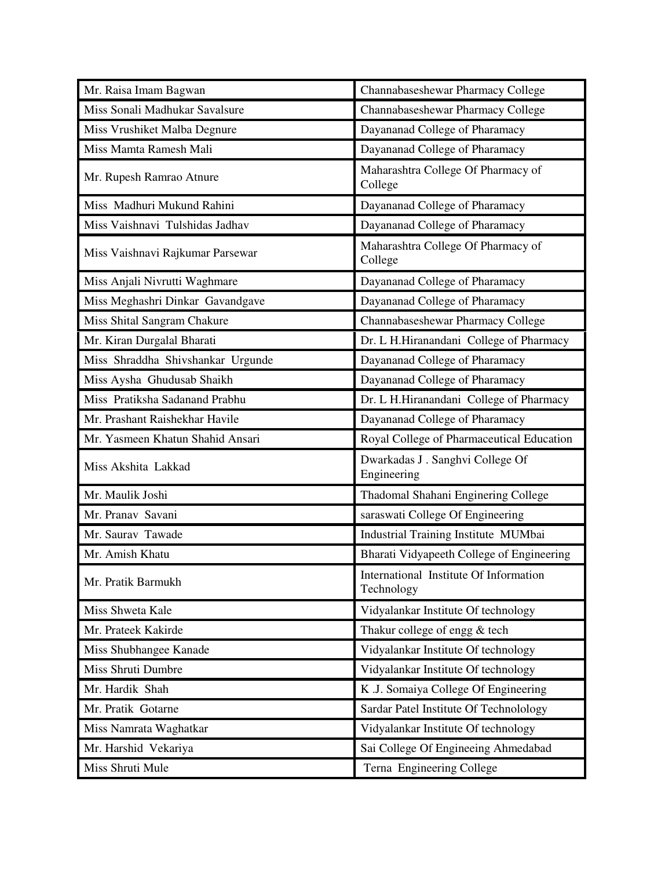| Mr. Raisa Imam Bagwan             | Channabaseshewar Pharmacy College                    |
|-----------------------------------|------------------------------------------------------|
| Miss Sonali Madhukar Savalsure    | Channabaseshewar Pharmacy College                    |
| Miss Vrushiket Malba Degnure      | Dayananad College of Pharamacy                       |
| Miss Mamta Ramesh Mali            | Dayananad College of Pharamacy                       |
| Mr. Rupesh Ramrao Atnure          | Maharashtra College Of Pharmacy of<br>College        |
| Miss Madhuri Mukund Rahini        | Dayananad College of Pharamacy                       |
| Miss Vaishnavi Tulshidas Jadhav   | Dayananad College of Pharamacy                       |
| Miss Vaishnavi Rajkumar Parsewar  | Maharashtra College Of Pharmacy of<br>College        |
| Miss Anjali Nivrutti Waghmare     | Dayananad College of Pharamacy                       |
| Miss Meghashri Dinkar Gavandgave  | Dayananad College of Pharamacy                       |
| Miss Shital Sangram Chakure       | Channabaseshewar Pharmacy College                    |
| Mr. Kiran Durgalal Bharati        | Dr. L H.Hiranandani College of Pharmacy              |
| Miss Shraddha Shivshankar Urgunde | Dayananad College of Pharamacy                       |
| Miss Aysha Ghudusab Shaikh        | Dayananad College of Pharamacy                       |
| Miss Pratiksha Sadanand Prabhu    | Dr. L H.Hiranandani College of Pharmacy              |
| Mr. Prashant Raishekhar Havile    | Dayananad College of Pharamacy                       |
|                                   |                                                      |
| Mr. Yasmeen Khatun Shahid Ansari  | Royal College of Pharmaceutical Education            |
| Miss Akshita Lakkad               | Dwarkadas J. Sanghvi College Of<br>Engineering       |
| Mr. Maulik Joshi                  | Thadomal Shahani Enginering College                  |
| Mr. Pranav Savani                 | saraswati College Of Engineering                     |
| Mr. Saurav Tawade                 | Industrial Training Institute MUMbai                 |
| Mr. Amish Khatu                   | Bharati Vidyapeeth College of Engineering            |
| Mr. Pratik Barmukh                | International Institute Of Information<br>Technology |
| Miss Shweta Kale                  | Vidyalankar Institute Of technology                  |
| Mr. Prateek Kakirde               | Thakur college of engg & tech                        |
| Miss Shubhangee Kanade            | Vidyalankar Institute Of technology                  |
| Miss Shruti Dumbre                | Vidyalankar Institute Of technology                  |
| Mr. Hardik Shah                   | K .J. Somaiya College Of Engineering                 |
| Mr. Pratik Gotarne                | Sardar Patel Institute Of Technolology               |
| Miss Namrata Waghatkar            | Vidyalankar Institute Of technology                  |
| Mr. Harshid Vekariya              | Sai College Of Engineeing Ahmedabad                  |